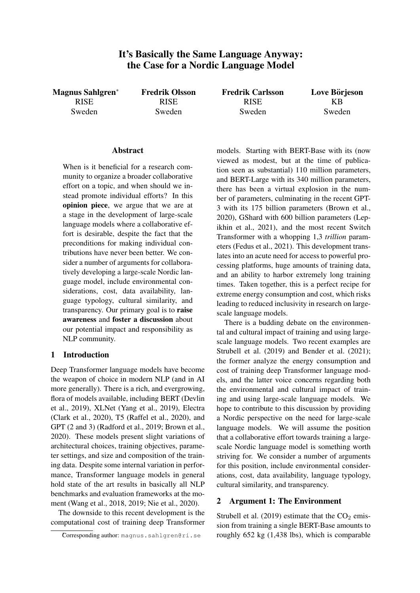# It's Basically the Same Language Anyway: the Case for a Nordic Language Model

Magnus Sahlgren<sup>∗</sup> RISE Sweden

Fredrik Olsson RISE Sweden

Fredrik Carlsson RISE Sweden

Love Börjeson KB Sweden

### **Abstract**

When is it beneficial for a research community to organize a broader collaborative effort on a topic, and when should we instead promote individual efforts? In this opinion piece, we argue that we are at a stage in the development of large-scale language models where a collaborative effort is desirable, despite the fact that the preconditions for making individual contributions have never been better. We consider a number of arguments for collaboratively developing a large-scale Nordic language model, include environmental considerations, cost, data availability, language typology, cultural similarity, and transparency. Our primary goal is to raise awareness and foster a discussion about our potential impact and responsibility as NLP community.

### 1 Introduction

Deep Transformer language models have become the weapon of choice in modern NLP (and in AI more generally). There is a rich, and evergrowing, flora of models available, including BERT (Devlin et al., 2019), XLNet (Yang et al., 2019), Electra (Clark et al., 2020), T5 (Raffel et al., 2020), and GPT (2 and 3) (Radford et al., 2019; Brown et al., 2020). These models present slight variations of architectural choices, training objectives, parameter settings, and size and composition of the training data. Despite some internal variation in performance, Transformer language models in general hold state of the art results in basically all NLP benchmarks and evaluation frameworks at the moment (Wang et al., 2018, 2019; Nie et al., 2020).

The downside to this recent development is the computational cost of training deep Transformer models. Starting with BERT-Base with its (now viewed as modest, but at the time of publication seen as substantial) 110 million parameters, and BERT-Large with its 340 million parameters, there has been a virtual explosion in the number of parameters, culminating in the recent GPT-3 with its 175 billion parameters (Brown et al., 2020), GShard with 600 billion parameters (Lepikhin et al., 2021), and the most recent Switch Transformer with a whopping 1,3 *trillion* parameters (Fedus et al., 2021). This development translates into an acute need for access to powerful processing platforms, huge amounts of training data, and an ability to harbor extremely long training times. Taken together, this is a perfect recipe for extreme energy consumption and cost, which risks leading to reduced inclusivity in research on largescale language models.

There is a budding debate on the environmental and cultural impact of training and using largescale language models. Two recent examples are Strubell et al. (2019) and Bender et al. (2021); the former analyze the energy consumption and cost of training deep Transformer language models, and the latter voice concerns regarding both the environmental and cultural impact of training and using large-scale language models. We hope to contribute to this discussion by providing a Nordic perspective on the need for large-scale language models. We will assume the position that a collaborative effort towards training a largescale Nordic language model is something worth striving for. We consider a number of arguments for this position, include environmental considerations, cost, data availability, language typology, cultural similarity, and transparency.

#### 2 Argument 1: The Environment

Strubell et al. (2019) estimate that the  $CO<sub>2</sub>$  emission from training a single BERT-Base amounts to roughly 652 kg (1,438 lbs), which is comparable

<sup>∗</sup>Corresponding author: magnus.sahlgren@ri.se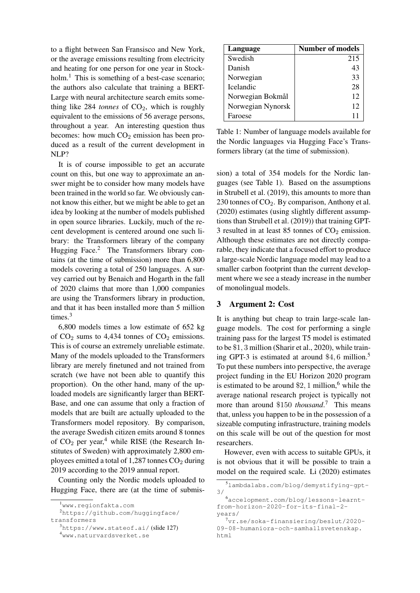to a flight between San Fransisco and New York, or the average emissions resulting from electricity and heating for one person for one year in Stockholm.<sup>1</sup> This is something of a best-case scenario; the authors also calculate that training a BERT-Large with neural architecture search emits something like  $284$  *tonnes* of  $CO<sub>2</sub>$ , which is roughly equivalent to the emissions of 56 average persons, throughout a year. An interesting question thus becomes: how much  $CO<sub>2</sub>$  emission has been produced as a result of the current development in NLP?

It is of course impossible to get an accurate count on this, but one way to approximate an answer might be to consider how many models have been trained in the world so far. We obviously cannot know this either, but we might be able to get an idea by looking at the number of models published in open source libraries. Luckily, much of the recent development is centered around one such library: the Transformers library of the company Hugging Face.<sup>2</sup> The Transformers library contains (at the time of submission) more than 6,800 models covering a total of 250 languages. A survey carried out by Benaich and Hogarth in the fall of 2020 claims that more than 1,000 companies are using the Transformers library in production, and that it has been installed more than 5 million times.<sup>3</sup>

6,800 models times a low estimate of 652 kg of  $CO<sub>2</sub>$  sums to 4,434 tonnes of  $CO<sub>2</sub>$  emissions. This is of course an extremely unreliable estimate. Many of the models uploaded to the Transformers library are merely finetuned and not trained from scratch (we have not been able to quantify this proportion). On the other hand, many of the uploaded models are significantly larger than BERT-Base, and one can assume that only a fraction of models that are built are actually uploaded to the Transformers model repository. By comparison, the average Swedish citizen emits around 8 tonnes of  $CO<sub>2</sub>$  per year,<sup>4</sup> while RISE (the Research Institutes of Sweden) with approximately 2,800 employees emitted a total of 1,287 tonnes  $CO<sub>2</sub>$  during 2019 according to the 2019 annual report.

Counting only the Nordic models uploaded to Hugging Face, there are (at the time of submis-

| Language          | Number of models |
|-------------------|------------------|
| Swedish           | 215              |
| Danish            | 43               |
| Norwegian         | 33               |
| <b>Icelandic</b>  | 28               |
| Norwegian Bokmål  | 12               |
| Norwegian Nynorsk | 12               |
| Faroese           | 11               |

Table 1: Number of language models available for the Nordic languages via Hugging Face's Transformers library (at the time of submission).

sion) a total of 354 models for the Nordic languages (see Table 1). Based on the assumptions in Strubell et al. (2019), this amounts to more than 230 tonnes of  $CO<sub>2</sub>$ . By comparison, Anthony et al. (2020) estimates (using slightly different assumptions than Strubell et al. (2019)) that training GPT-3 resulted in at least 85 tonnes of  $CO<sub>2</sub>$  emission. Although these estimates are not directly comparable, they indicate that a focused effort to produce a large-scale Nordic language model may lead to a smaller carbon footprint than the current development where we see a steady increase in the number of monolingual models.

# 3 Argument 2: Cost

It is anything but cheap to train large-scale language models. The cost for performing a single training pass for the largest T5 model is estimated to be \$1, 3 million (Sharir et al., 2020), while training GPT-3 is estimated at around  $$4, 6$  million.<sup>5</sup> To put these numbers into perspective, the average project funding in the EU Horizon 2020 program is estimated to be around  $\$2$ , 1 million,<sup>6</sup> while the average national research project is typically not more than around \$150 *thousand*. <sup>7</sup> This means that, unless you happen to be in the possession of a sizeable computing infrastructure, training models on this scale will be out of the question for most researchers.

However, even with access to suitable GPUs, it is not obvious that it will be possible to train a model on the required scale. Li (2020) estimates

<sup>1</sup>www.regionfakta.com

<sup>2</sup>https://github.com/huggingface/ transformers

<sup>3</sup>https://www.stateof.ai/ (slide 127)

<sup>4</sup>www.naturvardsverket.se

<sup>5</sup>lambdalabs.com/blog/demystifying-gpt-3/

<sup>6</sup>accelopment.com/blog/lessons-learntfrom-horizon-2020-for-its-final-2 years/

 $7<sub>vr.se/soka-finansiering/beslut/2020-</sub>$ 09-08-humaniora-och-samhallsvetenskap. html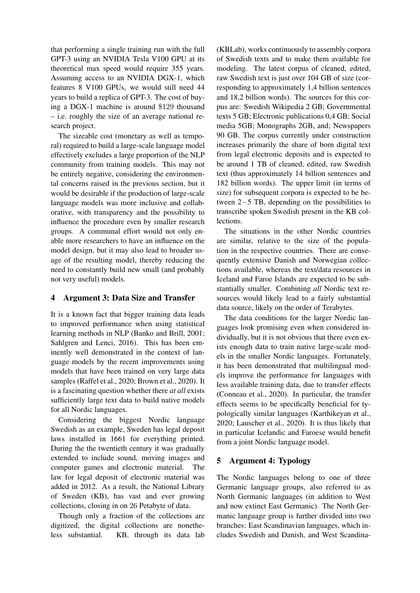that performing a single training run with the full GPT-3 using an NVIDIA Tesla V100 GPU at its theoretical max speed would require 355 years. Assuming access to an NVIDIA DGX-1, which features 8 V100 GPUs, we would still need 44 years to build a replica of GPT-3. The cost of buying a DGX-1 machine is around \$129 thousand – i.e. roughly the size of an average national research project.

The sizeable cost (monetary as well as temporal) required to build a large-scale language model effectively excludes a large proportion of the NLP community from training models. This may not be entirely negative, considering the environmental concerns raised in the previous section, but it would be desirable if the production of large-scale language models was more inclusive and collaborative, with transparency and the possibility to influence the procedure even by smaller research groups. A communal effort would not only enable more researchers to have an influence on the model design, but it may also lead to broader usage of the resulting model, thereby reducing the need to constantly build new small (and probably not very useful) models.

## 4 Argument 3: Data Size and Transfer

It is a known fact that bigger training data leads to improved performance when using statistical learning methods in NLP (Banko and Brill, 2001; Sahlgren and Lenci, 2016). This has been eminently well demonstrated in the context of language models by the recent improvements using models that have been trained on very large data samples (Raffel et al., 2020; Brown et al., 2020). It is a fascinating question whether there *at all* exists sufficiently large text data to build native models for all Nordic languages.

Considering the biggest Nordic language Swedish as an example, Sweden has legal deposit laws installed in 1661 for everything printed. During the the twentieth century it was gradually extended to include sound, moving images and computer games and electronic material. The law for legal deposit of electronic material was added in 2012. As a result, the National Library of Sweden (KB), has vast and ever growing collections, closing in on 26 Petabyte of data.

Though only a fraction of the collections are digitized, the digital collections are nonetheless substantial. KB, through its data lab (KBLab), works continuously to assembly corpora of Swedish texts and to make them available for modeling. The latest corpus of cleaned, edited, raw Swedish text is just over 104 GB of size (corresponding to approximately 1,4 billion sentences and 18,2 billion words). The sources for this corpus are: Swedish Wikipedia 2 GB; Governmental texts 5 GB; Electronic publications 0,4 GB; Social media 5GB; Monographs 2GB, and; Newspapers 90 GB. The corpus currently under construction increases primarily the share of born digital text from legal electronic deposits and is expected to be around 1 TB of cleaned, edited, raw Swedish text (thus approximately 14 billion sentences and 182 billion words). The upper limit (in terms of size) for subsequent corpora is expected to be between 2−5 TB, depending on the possibilities to transcribe spoken Swedish present in the KB collections.

The situations in the other Nordic countries are similar, relative to the size of the population in the respective countries. There are consequently extensive Danish and Norwegian collections available, whereas the text/data resources in Iceland and Faroe Islands are expected to be substantially smaller. Combining *all* Nordic text resources would likely lead to a fairly substantial data source, likely on the order of Terabytes.

The data conditions for the larger Nordic languages look promising even when considered individually, but it is not obvious that there even exists enough data to train native large-scale models in the smaller Nordic languages. Fortunately, it has been demonstrated that multilingual models improve the performance for languages with less available training data, due to transfer effects (Conneau et al., 2020). In particular, the transfer effects seems to be specifically beneficial for typologically similar languages (Karthikeyan et al., 2020; Lauscher et al., 2020). It is thus likely that in particular Icelandic and Faroese would benefit from a joint Nordic language model.

## 5 Argument 4: Typology

The Nordic languages belong to one of three Germanic language groups, also referred to as North Germanic languages (in addition to West and now extinct East Germanic). The North Germanic language group is further divided into two branches: East Scandinavian languages, which includes Swedish and Danish, and West Scandina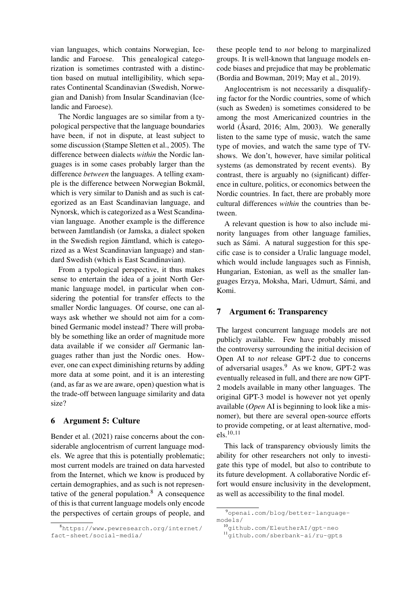vian languages, which contains Norwegian, Icelandic and Faroese. This genealogical categorization is sometimes contrasted with a distinction based on mutual intelligibility, which separates Continental Scandinavian (Swedish, Norwegian and Danish) from Insular Scandinavian (Icelandic and Faroese).

The Nordic languages are so similar from a typological perspective that the language boundaries have been, if not in dispute, at least subject to some discussion (Stampe Sletten et al., 2005). The difference between dialects *within* the Nordic languages is in some cases probably larger than the difference *between* the languages. A telling example is the difference between Norwegian Bokmål, which is very similar to Danish and as such is categorized as an East Scandinavian language, and Nynorsk, which is categorized as a West Scandinavian language. Another example is the difference between Jamtlandish (or Jamska, a dialect spoken in the Swedish region Jämtland, which is categorized as a West Scandinavian language) and standard Swedish (which is East Scandinavian).

From a typological perspective, it thus makes sense to entertain the idea of a joint North Germanic language model, in particular when considering the potential for transfer effects to the smaller Nordic languages. Of course, one can always ask whether we should not aim for a combined Germanic model instead? There will probably be something like an order of magnitude more data available if we consider *all* Germanic languages rather than just the Nordic ones. However, one can expect diminishing returns by adding more data at some point, and it is an interesting (and, as far as we are aware, open) question what is the trade-off between language similarity and data size?

### 6 Argument 5: Culture

Bender et al. (2021) raise concerns about the considerable anglocentrism of current language models. We agree that this is potentially problematic; most current models are trained on data harvested from the Internet, which we know is produced by certain demographies, and as such is not representative of the general population. $8 \text{ A}$  consequence of this is that current language models only encode the perspectives of certain groups of people, and these people tend to *not* belong to marginalized groups. It is well-known that language models encode biases and prejudice that may be problematic (Bordia and Bowman, 2019; May et al., 2019).

Anglocentrism is not necessarily a disqualifying factor for the Nordic countries, some of which (such as Sweden) is sometimes considered to be among the most Americanized countries in the world ( $\text{Åsard}$ , 2016; Alm, 2003). We generally listen to the same type of music, watch the same type of movies, and watch the same type of TVshows. We don't, however, have similar political systems (as demonstrated by recent events). By contrast, there is arguably no (significant) difference in culture, politics, or economics between the Nordic countries. In fact, there are probably more cultural differences *within* the countries than between.

A relevant question is how to also include minority languages from other language families, such as Sámi. A natural suggestion for this specific case is to consider a Uralic language model, which would include languages such as Finnish, Hungarian, Estonian, as well as the smaller languages Erzya, Moksha, Mari, Udmurt, Sámi, and Komi.

## 7 Argument 6: Transparency

The largest concurrent language models are not publicly available. Few have probably missed the controversy surrounding the initial decision of Open AI to *not* release GPT-2 due to concerns of adversarial usages.<sup>9</sup> As we know, GPT-2 was eventually released in full, and there are now GPT-2 models available in many other languages. The original GPT-3 model is however not yet openly available (*Open* AI is beginning to look like a misnomer), but there are several open-source efforts to provide competing, or at least alternative, models.10,11

This lack of transparency obviously limits the ability for other researchers not only to investigate this type of model, but also to contribute to its future development. A collaborative Nordic effort would ensure inclusivity in the development, as well as accessibility to the final model.

<sup>8</sup>https://www.pewresearch.org/internet/ fact-sheet/social-media/

<sup>9</sup>openai.com/blog/better-languagemodels/

<sup>10</sup>github.com/EleutherAI/gpt-neo

<sup>11</sup>github.com/sberbank-ai/ru-gpts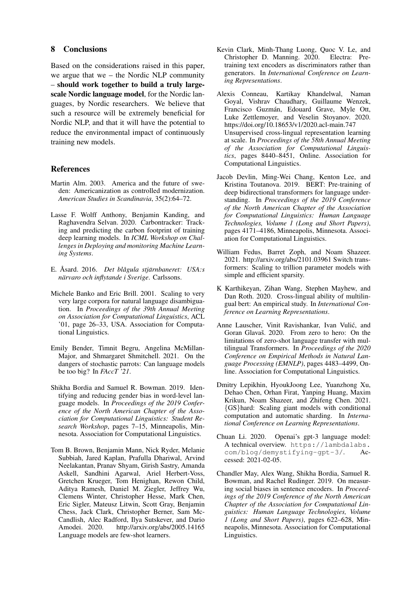### 8 Conclusions

Based on the considerations raised in this paper, we argue that we – the Nordic NLP community – should work together to build a truly largescale Nordic language model, for the Nordic languages, by Nordic researchers. We believe that such a resource will be extremely beneficial for Nordic NLP, and that it will have the potential to reduce the environmental impact of continuously training new models.

#### References

- Martin Alm. 2003. America and the future of sweden: Americanization as controlled modernization. *American Studies in Scandinavia*, 35(2):64–72.
- Lasse F. Wolff Anthony, Benjamin Kanding, and Raghavendra Selvan. 2020. Carbontracker: Tracking and predicting the carbon footprint of training deep learning models. In *ICML Workshop on Challenges in Deploying and monitoring Machine Learning Systems*.
- E. Åsard. 2016. *Det blågula stjärnbaneret: USA:s närvaro och inflytande i Sverige*. Carlssons.
- Michele Banko and Eric Brill. 2001. Scaling to very very large corpora for natural language disambiguation. In *Proceedings of the 39th Annual Meeting on Association for Computational Linguistics*, ACL '01, page 26–33, USA. Association for Computational Linguistics.
- Emily Bender, Timnit Begru, Angelina McMillan-Major, and Shmargaret Shmitchell. 2021. On the dangers of stochastic parrots: Can language models be too big? In *FAccT '21*.
- Shikha Bordia and Samuel R. Bowman. 2019. Identifying and reducing gender bias in word-level language models. In *Proceedings of the 2019 Conference of the North American Chapter of the Association for Computational Linguistics: Student Research Workshop*, pages 7–15, Minneapolis, Minnesota. Association for Computational Linguistics.
- Tom B. Brown, Benjamin Mann, Nick Ryder, Melanie Subbiah, Jared Kaplan, Prafulla Dhariwal, Arvind Neelakantan, Pranav Shyam, Girish Sastry, Amanda Askell, Sandhini Agarwal, Ariel Herbert-Voss, Gretchen Krueger, Tom Henighan, Rewon Child, Aditya Ramesh, Daniel M. Ziegler, Jeffrey Wu, Clemens Winter, Christopher Hesse, Mark Chen, Eric Sigler, Mateusz Litwin, Scott Gray, Benjamin Chess, Jack Clark, Christopher Berner, Sam Mc-Candlish, Alec Radford, Ilya Sutskever, and Dario Amodei. 2020. http://arxiv.org/abs/2005.14165 Language models are few-shot learners.
- Kevin Clark, Minh-Thang Luong, Quoc V. Le, and Christopher D. Manning. 2020. Electra: Pretraining text encoders as discriminators rather than generators. In *International Conference on Learning Representations*.
- Alexis Conneau, Kartikay Khandelwal, Naman Goyal, Vishrav Chaudhary, Guillaume Wenzek, Francisco Guzmán, Edouard Grave, Myle Ott, Luke Zettlemoyer, and Veselin Stoyanov. 2020. https://doi.org/10.18653/v1/2020.acl-main.747 Unsupervised cross-lingual representation learning at scale. In *Proceedings of the 58th Annual Meeting of the Association for Computational Linguistics*, pages 8440–8451, Online. Association for Computational Linguistics.
- Jacob Devlin, Ming-Wei Chang, Kenton Lee, and Kristina Toutanova. 2019. BERT: Pre-training of deep bidirectional transformers for language understanding. In *Proceedings of the 2019 Conference of the North American Chapter of the Association for Computational Linguistics: Human Language Technologies, Volume 1 (Long and Short Papers)*, pages 4171–4186, Minneapolis, Minnesota. Association for Computational Linguistics.
- William Fedus, Barret Zoph, and Noam Shazeer. 2021. http://arxiv.org/abs/2101.03961 Switch transformers: Scaling to trillion parameter models with simple and efficient sparsity.
- K Karthikeyan, Zihan Wang, Stephen Mayhew, and Dan Roth. 2020. Cross-lingual ability of multilingual bert: An empirical study. In *International Conference on Learning Representations*.
- Anne Lauscher, Vinit Ravishankar, Ivan Vulic, and ´ Goran Glavaš. 2020. From zero to hero: On the limitations of zero-shot language transfer with multilingual Transformers. In *Proceedings of the 2020 Conference on Empirical Methods in Natural Language Processing (EMNLP)*, pages 4483–4499, Online. Association for Computational Linguistics.
- Dmitry Lepikhin, HyoukJoong Lee, Yuanzhong Xu, Dehao Chen, Orhan Firat, Yanping Huang, Maxim Krikun, Noam Shazeer, and Zhifeng Chen. 2021. {GS}hard: Scaling giant models with conditional computation and automatic sharding. In *International Conference on Learning Representations*.
- Chuan Li. 2020. Openai's gpt-3 language model: A technical overview. https://lambdalabs. com/blog/demystifying-gpt-3/. Accessed: 2021-02-05.
- Chandler May, Alex Wang, Shikha Bordia, Samuel R. Bowman, and Rachel Rudinger. 2019. On measuring social biases in sentence encoders. In *Proceedings of the 2019 Conference of the North American Chapter of the Association for Computational Linguistics: Human Language Technologies, Volume 1 (Long and Short Papers)*, pages 622–628, Minneapolis, Minnesota. Association for Computational Linguistics.